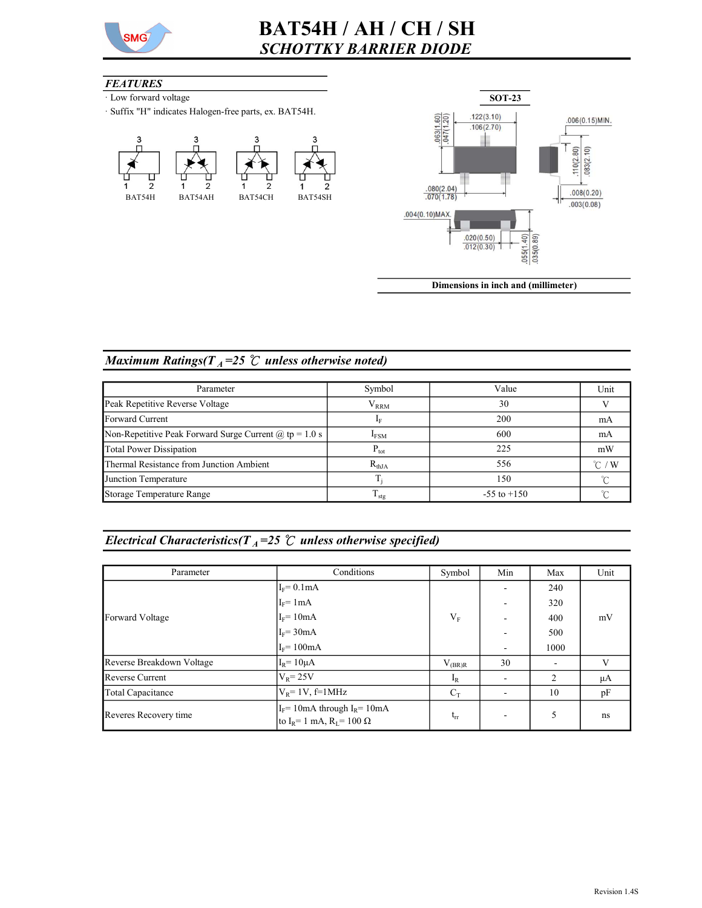

# BAT54H / AH / CH / SH SCHOTTKY BARRIER DIODE

#### **FEATURES**

- · Low forward voltage
- · Suffix "H" indicates Halogen-free parts, ex. BAT54H.





Dimensions in inch and (millimeter)

### Maximum Ratings( $T_A = 25$  °C unless otherwise noted)

| Parameter                                                | Symbol                  | Value           | Unit             |
|----------------------------------------------------------|-------------------------|-----------------|------------------|
| Peak Repetitive Reverse Voltage                          | ${\rm V}_{\rm RRM}$     | 30              |                  |
| Forward Current                                          |                         | 200             | mA               |
| Non-Repetitive Peak Forward Surge Current $@$ tp = 1.0 s | 600<br>I <sub>FSM</sub> |                 | mA               |
| <b>Total Power Dissipation</b>                           | $P_{\text{tot}}$        | 225             | mW               |
| Thermal Resistance from Junction Ambient                 | 556<br>$R_{thJA}$       |                 | $^{\circ}$ C / W |
| Junction Temperature                                     |                         | 150             |                  |
| Storage Temperature Range                                | $\frac{1}{1}$ stg       | $-55$ to $+150$ |                  |

## Electrical Characteristics( $T_A$ =25  $\degree$  unless otherwise specified)

| Parameter                 | Conditions                                                                                   | Symbol      | Min                      | Max  | Unit |
|---------------------------|----------------------------------------------------------------------------------------------|-------------|--------------------------|------|------|
|                           | $I_F = 0.1mA$                                                                                |             |                          | 240  |      |
| Forward Voltage           | $I_F$ = 1mA                                                                                  |             |                          | 320  |      |
|                           | $I_F = 10mA$                                                                                 | $V_F$       |                          | 400  | mV   |
|                           | $I_F$ = 30mA                                                                                 |             |                          | 500  |      |
|                           | $I_F = 100mA$                                                                                |             | $\overline{\phantom{0}}$ | 1000 |      |
| Reverse Breakdown Voltage | $I_R$ = 10 $\mu$ A                                                                           | $V_{(BR)R}$ | 30                       |      | V    |
| <b>Reverse Current</b>    | $V_R$ = 25V                                                                                  | $I_R$       |                          | 2    | μA   |
| Total Capacitance         | $V_R$ = 1V, f=1MHz                                                                           | $C_T$       |                          | 10   | pF   |
| Reveres Recovery time     | $I_F$ = 10mA through $I_R$ = 10mA<br>to I <sub>R</sub> = 1 mA, R <sub>L</sub> = 100 $\Omega$ | $t_{rr}$    |                          | 5    | ns   |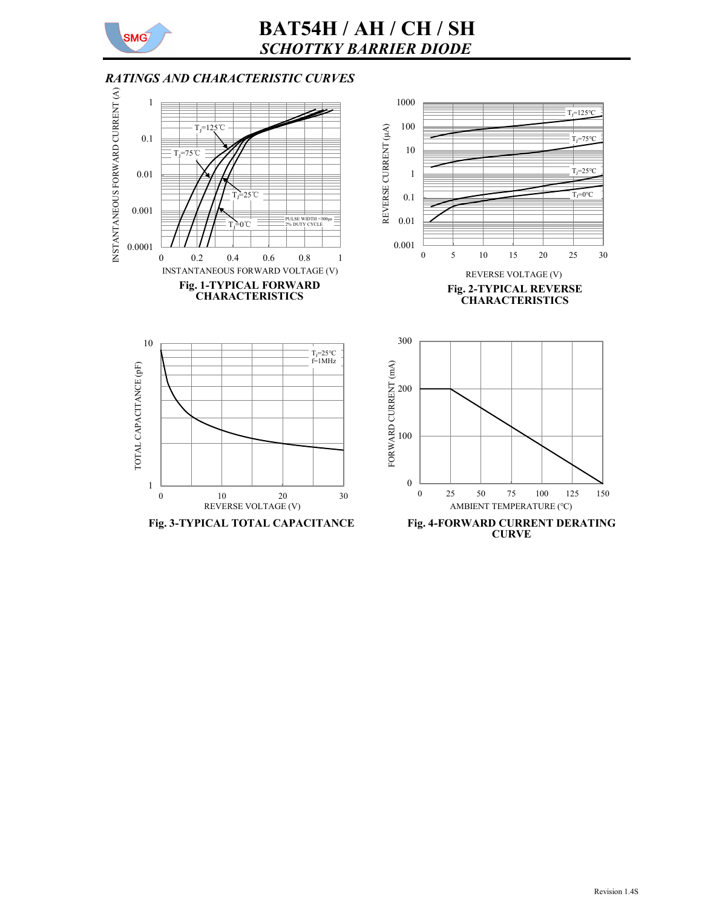

# BAT54H / AH / CH / SH SCHOTTKY BARRIER DIODE

### RATINGS AND CHARACTERISTIC CURVES

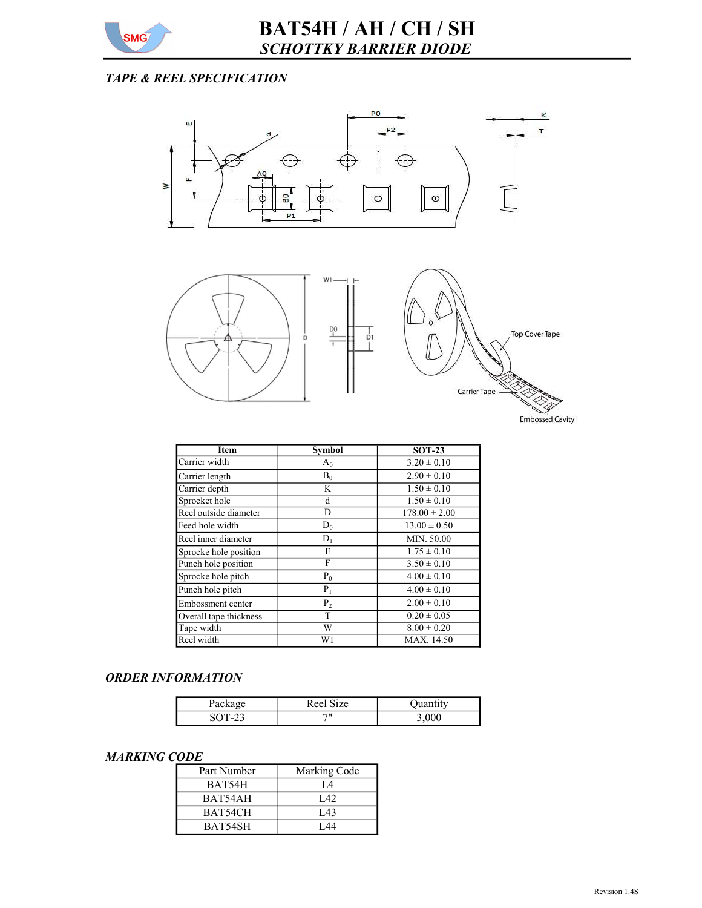

## TAPE & REEL SPECIFICATION



| Item                   | Symbol | SO 1-25           |  |  |
|------------------------|--------|-------------------|--|--|
| Carrier width          | $A_0$  | $3.20 \pm 0.10$   |  |  |
| Carrier length         | $B_0$  | $2.90 \pm 0.10$   |  |  |
| Carrier depth          | K      | $1.50 \pm 0.10$   |  |  |
| Sprocket hole          | d      | $1.50 \pm 0.10$   |  |  |
| Reel outside diameter  | D      | $178.00 \pm 2.00$ |  |  |
| Feed hole width        | $D_0$  | $13.00 \pm 0.50$  |  |  |
| Reel inner diameter    | $D_1$  | MIN. 50.00        |  |  |
| Sprocke hole position  | E      | $1.75 \pm 0.10$   |  |  |
| Punch hole position    | F      | $3.50 \pm 0.10$   |  |  |
| Sprocke hole pitch     | $P_0$  | $4.00 \pm 0.10$   |  |  |
| Punch hole pitch       | $P_1$  | $4.00 \pm 0.10$   |  |  |
| Embossment center      | $P_2$  | $2.00 \pm 0.10$   |  |  |
| Overall tape thickness | T      | $0.20 \pm 0.05$   |  |  |
| Tape width             | W      | $8.00 \pm 0.20$   |  |  |
| Reel width             | W1     | MAX. 14.50        |  |  |

#### ORDER INFORMATION

| rackage | ' Size<br>Reel |  |
|---------|----------------|--|
| - 1     | 711            |  |

#### MARKING CODE

| Part Number | Marking Code |
|-------------|--------------|
| BAT54H      | Ι4           |
| BAT54AH     | I 42         |
| BAT54CH     | L43          |
| BAT54SH     | T 44         |